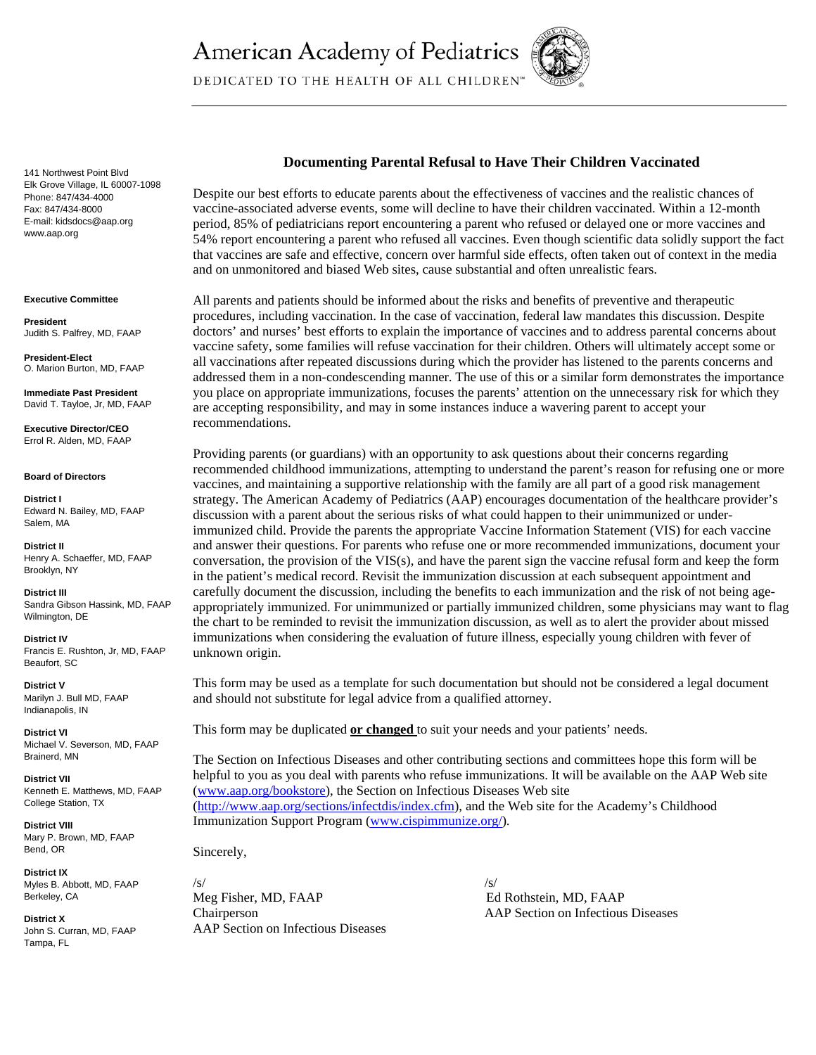**American Academy of Pediatrics** 



DEDICATED TO THE HEALTH OF ALL CHILDREN<sup>™</sup>

141 Northwest Point Blvd Elk Grove Village, IL 60007-1098 Phone: 847/434-4000 Fax: 847/434-8000 E-mail: kidsdocs@aap.org www.aap.org

#### **Executive Committee**

**President**  Judith S. Palfrey, MD, FAAP

**President-Elect**  O. Marion Burton, MD, FAAP

**Immediate Past President**  David T. Tayloe, Jr, MD, FAAP

**Executive Director/CEO**  Errol R. Alden, MD, FAAP

#### **Board of Directors**

**District I**  Edward N. Bailey, MD, FAAP Salem, MA

**District II**  Henry A. Schaeffer, MD, FAAP Brooklyn, NY

**District III**  Sandra Gibson Hassink, MD, FAAP Wilmington, DE

**District IV**  Francis E. Rushton, Jr, MD, FAAP Beaufort, SC

**District V**  Marilyn J. Bull MD, FAAP Indianapolis, IN

**District VI**  Michael V. Severson, MD, FAAP Brainerd, MN

**District VII**  Kenneth E. Matthews, MD, FAAP College Station, TX

**District VIII**  Mary P. Brown, MD, FAAP Bend, OR

**District IX**  Myles B. Abbott, MD, FAAP Berkeley, CA

**District X**  John S. Curran, MD, FAAP Tampa, FL

#### **Documenting Parental Refusal to Have Their Children Vaccinated**

Despite our best efforts to educate parents about the effectiveness of vaccines and the realistic chances of vaccine-associated adverse events, some will decline to have their children vaccinated. Within a 12-month period, 85% of pediatricians report encountering a parent who refused or delayed one or more vaccines and 54% report encountering a parent who refused all vaccines. Even though scientific data solidly support the fact that vaccines are safe and effective, concern over harmful side effects, often taken out of context in the media and on unmonitored and biased Web sites, cause substantial and often unrealistic fears.

All parents and patients should be informed about the risks and benefits of preventive and therapeutic procedures, including vaccination. In the case of vaccination, federal law mandates this discussion. Despite doctors' and nurses' best efforts to explain the importance of vaccines and to address parental concerns about vaccine safety, some families will refuse vaccination for their children. Others will ultimately accept some or all vaccinations after repeated discussions during which the provider has listened to the parents concerns and addressed them in a non-condescending manner. The use of this or a similar form demonstrates the importance you place on appropriate immunizations, focuses the parents' attention on the unnecessary risk for which they are accepting responsibility, and may in some instances induce a wavering parent to accept your recommendations.

Providing parents (or guardians) with an opportunity to ask questions about their concerns regarding recommended childhood immunizations, attempting to understand the parent's reason for refusing one or more vaccines, and maintaining a supportive relationship with the family are all part of a good risk management strategy. The American Academy of Pediatrics (AAP) encourages documentation of the healthcare provider's discussion with a parent about the serious risks of what could happen to their unimmunized or underimmunized child. Provide the parents the appropriate Vaccine Information Statement (VIS) for each vaccine and answer their questions. For parents who refuse one or more recommended immunizations, document your conversation, the provision of the VIS(s), and have the parent sign the vaccine refusal form and keep the form in the patient's medical record. Revisit the immunization discussion at each subsequent appointment and carefully document the discussion, including the benefits to each immunization and the risk of not being ageappropriately immunized. For unimmunized or partially immunized children, some physicians may want to flag the chart to be reminded to revisit the immunization discussion, as well as to alert the provider about missed immunizations when considering the evaluation of future illness, especially young children with fever of unknown origin.

This form may be used as a template for such documentation but should not be considered a legal document and should not substitute for legal advice from a qualified attorney.

This form may be duplicated **or changed** to suit your needs and your patients' needs.

The Section on Infectious Diseases and other contributing sections and committees hope this form will be helpful to you as you deal with parents who refuse immunizations. It will be available on the AAP Web site (www.aap.org/bookstore), the Section on Infectious Diseases Web site (http://www.aap.org/sections/infectdis/index.cfm), and the Web site for the Academy's Childhood Immunization Support Program (www.cispimmunize.org/).

Sincerely,

 $\sqrt{s}/\sqrt{s}$ Meg Fisher, MD, FAAP Ed Rothstein, MD, FAAP AAP Section on Infectious Diseases

Chairperson AAP Section on Infectious Diseases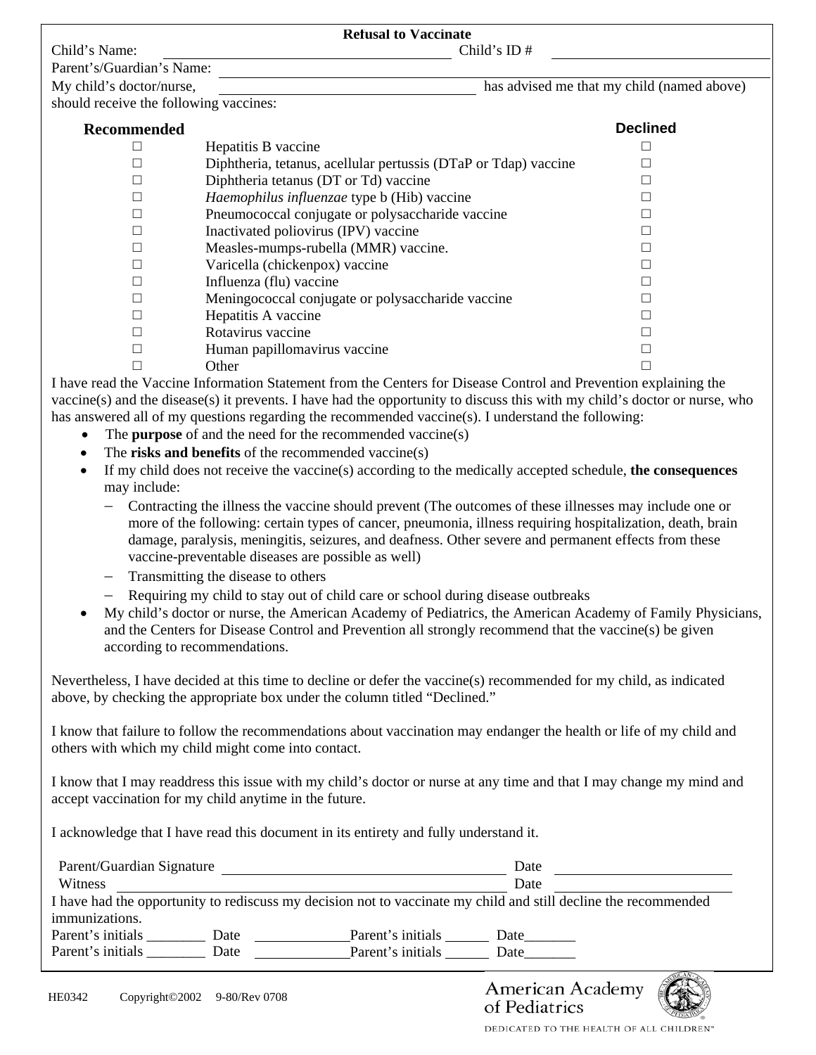| <b>Refusal to Vaccinate</b>                                                                                                  |                                                                 |                                            |  |  |
|------------------------------------------------------------------------------------------------------------------------------|-----------------------------------------------------------------|--------------------------------------------|--|--|
| Child's Name:                                                                                                                | Child's ID $#$                                                  |                                            |  |  |
| Parent's/Guardian's Name:                                                                                                    |                                                                 |                                            |  |  |
| My child's doctor/nurse,                                                                                                     |                                                                 | has advised me that my child (named above) |  |  |
| should receive the following vaccines:                                                                                       |                                                                 |                                            |  |  |
| <b>Recommended</b>                                                                                                           |                                                                 | <b>Declined</b>                            |  |  |
| □                                                                                                                            | Hepatitis B vaccine                                             |                                            |  |  |
| □                                                                                                                            | Diphtheria, tetanus, acellular pertussis (DTaP or Tdap) vaccine |                                            |  |  |
| $\Box$                                                                                                                       | Diphtheria tetanus (DT or Td) vaccine                           |                                            |  |  |
| П                                                                                                                            | Haemophilus influenzae type b (Hib) vaccine                     |                                            |  |  |
| П                                                                                                                            | Pneumococcal conjugate or polysaccharide vaccine                |                                            |  |  |
| $\Box$                                                                                                                       | Inactivated poliovirus (IPV) vaccine                            |                                            |  |  |
| □                                                                                                                            | Measles-mumps-rubella (MMR) vaccine.                            |                                            |  |  |
| П                                                                                                                            | Varicella (chickenpox) vaccine                                  |                                            |  |  |
| $\Box$                                                                                                                       | Influenza (flu) vaccine                                         |                                            |  |  |
| П                                                                                                                            | Meningococcal conjugate or polysaccharide vaccine               |                                            |  |  |
| П                                                                                                                            | Hepatitis A vaccine                                             |                                            |  |  |
| П                                                                                                                            | Rotavirus vaccine                                               |                                            |  |  |
| П                                                                                                                            | Human papillomavirus vaccine                                    |                                            |  |  |
|                                                                                                                              | Other                                                           |                                            |  |  |
| I have read the Vaccine Information Statement from the Centers for Disease Control and Prevention explaining the             |                                                                 |                                            |  |  |
| $vaccine(s)$ and the disease(s) it prevents. I have had the opportunity to discuss this with my child's doctor or nurse, who |                                                                 |                                            |  |  |
| has answered all of my questions regarding the recommended vaccine(s). I understand the following:                           |                                                                 |                                            |  |  |
| The <b>purpose</b> of and the need for the recommended vaccine(s)                                                            |                                                                 |                                            |  |  |

- The **risks and benefits** of the recommended vaccine(s)
- If my child does not receive the vaccine(s) according to the medically accepted schedule, **the consequences** may include:
	- − Contracting the illness the vaccine should prevent (The outcomes of these illnesses may include one or more of the following: certain types of cancer, pneumonia, illness requiring hospitalization, death, brain damage, paralysis, meningitis, seizures, and deafness. Other severe and permanent effects from these vaccine-preventable diseases are possible as well)
	- Transmitting the disease to others
	- Requiring my child to stay out of child care or school during disease outbreaks
- My child's doctor or nurse, the American Academy of Pediatrics, the American Academy of Family Physicians, and the Centers for Disease Control and Prevention all strongly recommend that the vaccine(s) be given according to recommendations.

Nevertheless, I have decided at this time to decline or defer the vaccine(s) recommended for my child, as indicated above, by checking the appropriate box under the column titled "Declined."

I know that failure to follow the recommendations about vaccination may endanger the health or life of my child and others with which my child might come into contact.

I know that I may readdress this issue with my child's doctor or nurse at any time and that I may change my mind and accept vaccination for my child anytime in the future.

I acknowledge that I have read this document in its entirety and fully understand it.

| Parent/Guardian Signature                                                                                       |                           | Date |  |  |
|-----------------------------------------------------------------------------------------------------------------|---------------------------|------|--|--|
| Witness                                                                                                         |                           | Date |  |  |
| I have had the opportunity to rediscuss my decision not to vaccinate my child and still decline the recommended |                           |      |  |  |
| immunizations.                                                                                                  |                           |      |  |  |
| Parent's initials                                                                                               | Parent's initials<br>Date | Date |  |  |
| Parent's initials                                                                                               | Parent's initials<br>Date | Date |  |  |





DEDICATED TO THE HEALTH OF ALL CHILDREN'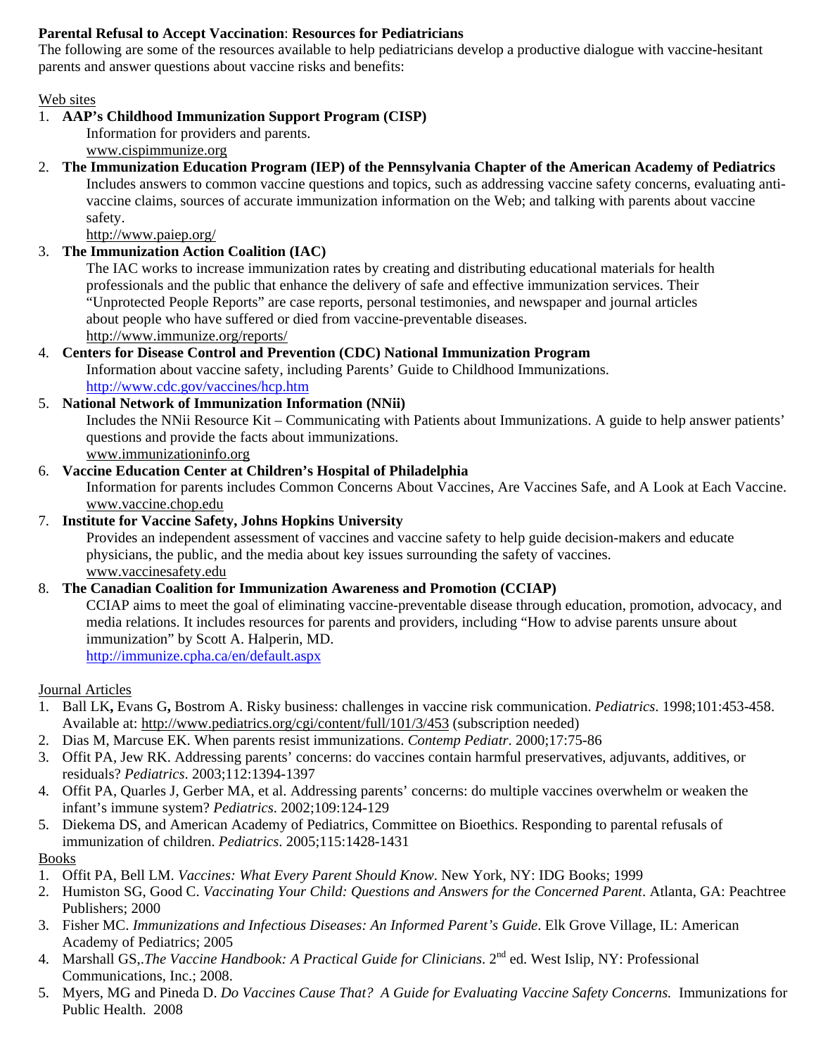# **Parental Refusal to Accept Vaccination**: **Resources for Pediatricians**

The following are some of the resources available to help pediatricians develop a productive dialogue with vaccine-hesitant parents and answer questions about vaccine risks and benefits:

# Web sites

1. **AAP's Childhood Immunization Support Program (CISP)**

 Information for providers and parents. www.cispimmunize.org

# 2. **The Immunization Education Program (IEP) of the Pennsylvania Chapter of the American Academy of Pediatrics**

Includes answers to common vaccine questions and topics, such as addressing vaccine safety concerns, evaluating antivaccine claims, sources of accurate immunization information on the Web; and talking with parents about vaccine safety.

http://www.paiep.org/

# 3. **The Immunization Action Coalition (IAC)**

The IAC works to increase immunization rates by creating and distributing educational materials for health professionals and the public that enhance the delivery of safe and effective immunization services. Their "Unprotected People Reports" are case reports, personal testimonies, and newspaper and journal articles about people who have suffered or died from vaccine-preventable diseases. http://www.immunize.org/reports/

# 4. **Centers for Disease Control and Prevention (CDC) National Immunization Program**

Information about vaccine safety, including Parents' Guide to Childhood Immunizations. http://www.cdc.gov/vaccines/hcp.htm

# 5. **National Network of Immunization Information (NNii)**

Includes the NNii Resource Kit – Communicating with Patients about Immunizations. A guide to help answer patients' questions and provide the facts about immunizations.

www.immunizationinfo.org

# 6. **Vaccine Education Center at Children's Hospital of Philadelphia**

Information for parents includes Common Concerns About Vaccines, Are Vaccines Safe, and A Look at Each Vaccine. www.vaccine.chop.edu

# 7. **Institute for Vaccine Safety, Johns Hopkins University**

Provides an independent assessment of vaccines and vaccine safety to help guide decision-makers and educate physicians, the public, and the media about key issues surrounding the safety of vaccines. www.vaccinesafety.edu

## 8. **The Canadian Coalition for Immunization Awareness and Promotion (CCIAP)**

CCIAP aims to meet the goal of eliminating vaccine-preventable disease through education, promotion, advocacy, and media relations. It includes resources for parents and providers, including "How to advise parents unsure about immunization" by Scott A. Halperin, MD. http://immunize.cpha.ca/en/default.aspx

## Journal Articles

- 1. Ball LK**,** Evans G**,** Bostrom A. Risky business: challenges in vaccine risk communication. *Pediatrics*. 1998;101:453-458. Available at: http://www.pediatrics.org/cgi/content/full/101/3/453 (subscription needed)
- 2. Dias M, Marcuse EK. When parents resist immunizations. *Contemp Pediatr*. 2000;17:75-86
- 3. Offit PA, Jew RK. Addressing parents' concerns: do vaccines contain harmful preservatives, adjuvants, additives, or residuals? *Pediatrics*. 2003;112:1394-1397
- 4. Offit PA, Quarles J, Gerber MA, et al. Addressing parents' concerns: do multiple vaccines overwhelm or weaken the infant's immune system? *Pediatrics*. 2002;109:124-129
- 5. Diekema DS, and American Academy of Pediatrics, Committee on Bioethics. Responding to parental refusals of immunization of children. *Pediatrics*. 2005;115:1428-1431

## Books

- 1. Offit PA, Bell LM. *Vaccines: What Every Parent Should Know*. New York, NY: IDG Books; 1999
- 2. Humiston SG, Good C. *Vaccinating Your Child: Questions and Answers for the Concerned Parent*. Atlanta, GA: Peachtree Publishers; 2000
- 3. Fisher MC. *Immunizations and Infectious Diseases: An Informed Parent's Guide*. Elk Grove Village, IL: American Academy of Pediatrics; 2005
- 4. Marshall GS,.*The Vaccine Handbook: A Practical Guide for Clinicians*. 2nd ed. West Islip, NY: Professional Communications, Inc.; 2008.
- 5. Myers, MG and Pineda D. *Do Vaccines Cause That? A Guide for Evaluating Vaccine Safety Concerns.* Immunizations for Public Health. 2008